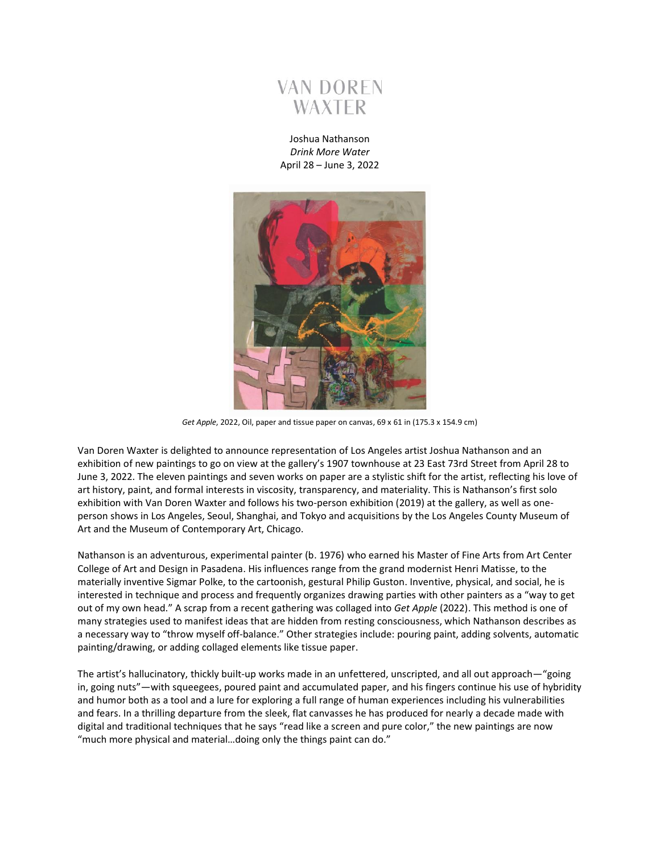

Joshua Nathanson *Drink More Water* April 28 – June 3, 2022



*Get Apple*, 2022, Oil, paper and tissue paper on canvas, 69 x 61 in (175.3 x 154.9 cm)

Van Doren Waxter is delighted to announce representation of Los Angeles artist Joshua Nathanson and an exhibition of new paintings to go on view at the gallery's 1907 townhouse at 23 East 73rd Street from April 28 to June 3, 2022. The eleven paintings and seven works on paper are a stylistic shift for the artist, reflecting his love of art history, paint, and formal interests in viscosity, transparency, and materiality. This is Nathanson's first solo exhibition with Van Doren Waxter and follows his two-person exhibition (2019) at the gallery, as well as oneperson shows in Los Angeles, Seoul, Shanghai, and Tokyo and acquisitions by the Los Angeles County Museum of Art and the Museum of Contemporary Art, Chicago.

Nathanson is an adventurous, experimental painter (b. 1976) who earned his Master of Fine Arts from Art Center College of Art and Design in Pasadena. His influences range from the grand modernist Henri Matisse, to the materially inventive Sigmar Polke, to the cartoonish, gestural Philip Guston. Inventive, physical, and social, he is interested in technique and process and frequently organizes drawing parties with other painters as a "way to get out of my own head." A scrap from a recent gathering was collaged into *Get Apple* (2022). This method is one of many strategies used to manifest ideas that are hidden from resting consciousness, which Nathanson describes as a necessary way to "throw myself off-balance." Other strategies include: pouring paint, adding solvents, automatic painting/drawing, or adding collaged elements like tissue paper.

The artist's hallucinatory, thickly built-up works made in an unfettered, unscripted, and all out approach—"going in, going nuts"—with squeegees, poured paint and accumulated paper, and his fingers continue his use of hybridity and humor both as a tool and a lure for exploring a full range of human experiences including his vulnerabilities and fears. In a thrilling departure from the sleek, flat canvasses he has produced for nearly a decade made with digital and traditional techniques that he says "read like a screen and pure color," the new paintings are now "much more physical and material…doing only the things paint can do."